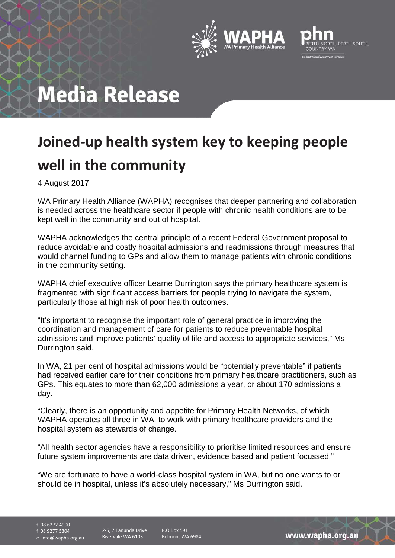



# **Media Release**

### **Joined-up health system key to keeping people well in the community**

4 August 2017

WA Primary Health Alliance (WAPHA) recognises that deeper partnering and collaboration is needed across the healthcare sector if people with chronic health conditions are to be kept well in the community and out of hospital.

WAPHA acknowledges the central principle of a recent Federal Government proposal to reduce avoidable and costly hospital admissions and readmissions through measures that would channel funding to GPs and allow them to manage patients with chronic conditions in the community setting.

WAPHA chief executive officer Learne Durrington says the primary healthcare system is fragmented with significant access barriers for people trying to navigate the system, particularly those at high risk of poor health outcomes.

"It's important to recognise the important role of general practice in improving the coordination and management of care for patients to reduce preventable hospital admissions and improve patients' quality of life and access to appropriate services," Ms Durrington said.

In WA, 21 per cent of hospital admissions would be "potentially preventable" if patients had received earlier care for their conditions from primary healthcare practitioners, such as GPs. This equates to more than 62,000 admissions a year, or about 170 admissions a day.

"Clearly, there is an opportunity and appetite for Primary Health Networks, of which WAPHA operates all three in WA, to work with primary healthcare providers and the hospital system as stewards of change.

"All health sector agencies have a responsibility to prioritise limited resources and ensure future system improvements are data driven, evidence based and patient focussed."

"We are fortunate to have a world-class hospital system in WA, but no one wants to or should be in hospital, unless it's absolutely necessary," Ms Durrington said.

t 08 6272 4900

f 08 9277 5304

e info@wapha.org.au

2-5, 7 Tanunda Drive Rivervale WA 6103

P.O Box 591 Belmont WA 6984

www.wapha.org.au